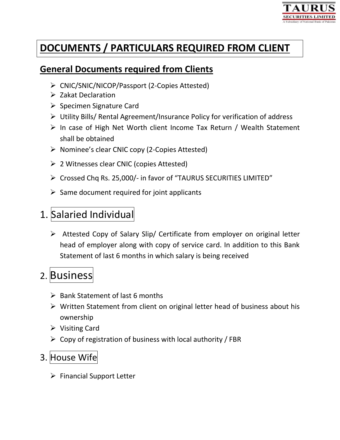

# **DOCUMENTS / PARTICULARS REQUIRED FROM CLIENT**

#### **General Documents required from Clients**

- CNIC/SNIC/NICOP/Passport (2-Copies Attested)
- $\triangleright$  Zakat Declaration
- $\triangleright$  Specimen Signature Card
- Utility Bills/ Rental Agreement/Insurance Policy for verification of address
- $\triangleright$  In case of High Net Worth client Income Tax Return / Wealth Statement shall be obtained
- $\triangleright$  Nominee's clear CNIC copy (2-Copies Attested)
- 2 Witnesses clear CNIC (copies Attested)
- Crossed Chq Rs. 25,000/- in favor of "TAURUS SECURITIES LIMITED"
- $\triangleright$  Same document required for joint applicants

## 1. Salaried Individual

 Attested Copy of Salary Slip/ Certificate from employer on original letter head of employer along with copy of service card. In addition to this Bank Statement of last 6 months in which salary is being received

# 2. Business

- $\triangleright$  Bank Statement of last 6 months
- $\triangleright$  Written Statement from client on original letter head of business about his ownership
- $\triangleright$  Visiting Card
- $\triangleright$  Copy of registration of business with local authority / FBR

## 3. House Wife

 $\triangleright$  Financial Support Letter